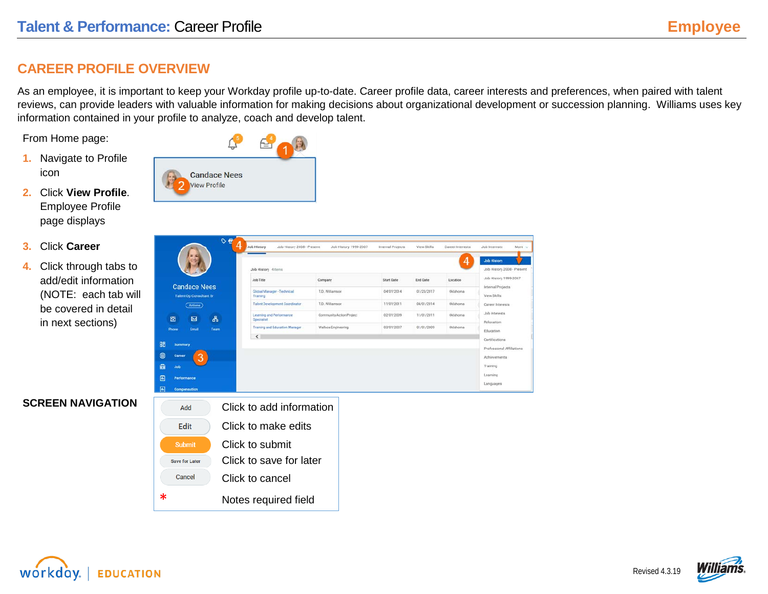# **CAREER PROFILE OVERVIEW**

As an employee, it is important to keep your Workday profile up-to-date. Career profile data, career interests and preferences, when paired with talent reviews, can provide leaders with valuable information for making decisions about organizational development or succession planning. Williams uses key information contained in your profile to analyze, coach and develop talent.

Nore v

From Home page:

- **1.** Navigate to Profile icon
- **2.** Click **View Profile**. Employee Profile page displays
- **3.** Click **Career**
- **4.** Click through tabs to add/edit information (NOTE: each tab will be covered in detail in next sections)

| $\circ e$<br>4                                        | Job History<br>Job History 2008 - Present | Job History 1999-2007    | Internal Projects | View Skills | Career Interests | <b>Job Interests</b><br>More                   |
|-------------------------------------------------------|-------------------------------------------|--------------------------|-------------------|-------------|------------------|------------------------------------------------|
|                                                       | Job History 4 items                       |                          |                   |             | 4                | <b>Job History</b><br>Job History 2008 - Pres- |
|                                                       | <b>Job Title</b>                          | Company                  | <b>Start Date</b> | End Date    | Location         | Job History 1999-2007                          |
| <b>Candace Nees</b><br><b>Talent Op Consultant Sr</b> | Global Manager - Technical<br>Training    | T.D. Williamson          | 04/01/2014        | 01/23/2017  | Oklahoma         | Internal Projects<br>View Skills               |
| (Actions)                                             | <b>Talent Development Coordinator</b>     | T.D. Williamson          | 11/01/2011        | 04/01/2014  | Oklahoma         | Career Interests                               |
| 品<br>囹<br>囜                                           | Learning and Performance<br>Specialist    | Community Action Project | 02/01/2009        | 11/01/2011  | Oklahoma         | Job Interests<br>Relocation                    |
| Team<br>Email<br>Phone                                | Training and Education Manager.           | Wallace Engineering      | 03/01/2007        | 01/01/2009  | Oklahoma         | <b>Education</b>                               |
|                                                       | $\left\langle \right\rangle$              |                          |                   |             |                  | Certifications                                 |
| 88<br><b>Summary</b>                                  |                                           |                          |                   |             |                  | Professional Affiliations                      |
| $\odot$<br>Career<br>3.                               |                                           |                          |                   |             |                  | Achievements                                   |
| 会<br>Job                                              |                                           |                          |                   |             |                  | Training                                       |
| 圖<br>Performance                                      |                                           |                          |                   |             |                  | Learning                                       |
| 画<br><b>Compensation</b>                              |                                           |                          |                   |             |                  | Languages                                      |
|                                                       |                                           |                          |                   |             |                  |                                                |

## **SCREEN NAVIGATION**

| Add            | Click to add information |  |
|----------------|--------------------------|--|
| <b>Edit</b>    | Click to make edits      |  |
| <b>Submit</b>  | Click to submit          |  |
| Save for Later | Click to save for later  |  |
| Cancel         | Click to cancel          |  |
| ж              | Notes required field     |  |

**Candace Nees View Profile** 

workdov. **EDUCATION** 

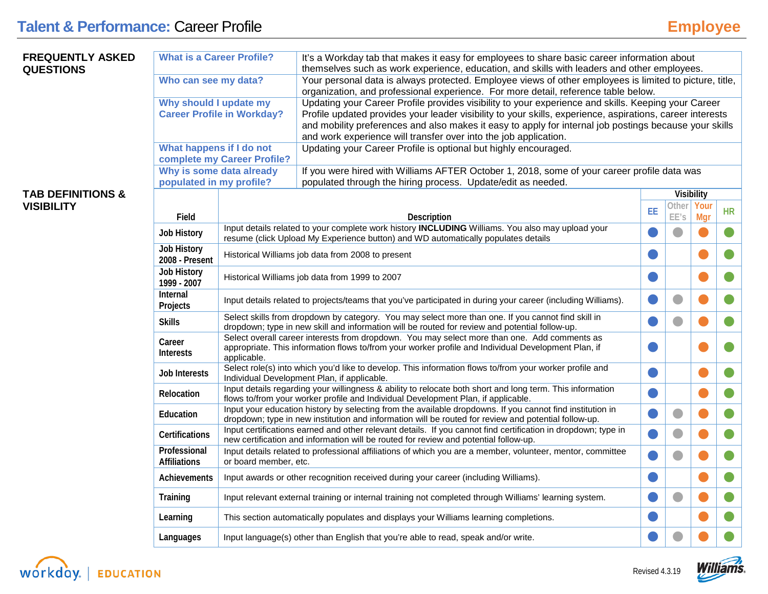| <b>FREQUENTLY ASKED</b><br><b>QUESTIONS</b> | <b>What is a Career Profile?</b>    |                                                                                                                                                                                                                   | It's a Workday tab that makes it easy for employees to share basic career information about<br>themselves such as work experience, education, and skills with leaders and other employees.                          |    |                |                   |           |  |
|---------------------------------------------|-------------------------------------|-------------------------------------------------------------------------------------------------------------------------------------------------------------------------------------------------------------------|---------------------------------------------------------------------------------------------------------------------------------------------------------------------------------------------------------------------|----|----------------|-------------------|-----------|--|
|                                             | Who can see my data?                |                                                                                                                                                                                                                   | Your personal data is always protected. Employee views of other employees is limited to picture, title,<br>organization, and professional experience. For more detail, reference table below.                       |    |                |                   |           |  |
|                                             | Why should I update my              |                                                                                                                                                                                                                   | Updating your Career Profile provides visibility to your experience and skills. Keeping your Career                                                                                                                 |    |                |                   |           |  |
|                                             |                                     | <b>Career Profile in Workday?</b>                                                                                                                                                                                 | Profile updated provides your leader visibility to your skills, experience, aspirations, career interests<br>and mobility preferences and also makes it easy to apply for internal job postings because your skills |    |                |                   |           |  |
|                                             |                                     |                                                                                                                                                                                                                   | and work experience will transfer over into the job application.                                                                                                                                                    |    |                |                   |           |  |
|                                             | What happens if I do not            | complete my Career Profile?                                                                                                                                                                                       | Updating your Career Profile is optional but highly encouraged.                                                                                                                                                     |    |                |                   |           |  |
|                                             | populated in my profile?            | Why is some data already                                                                                                                                                                                          | If you were hired with Williams AFTER October 1, 2018, some of your career profile data was<br>populated through the hiring process. Update/edit as needed.                                                         |    |                |                   |           |  |
| <b>TAB DEFINITIONS &amp;</b>                |                                     |                                                                                                                                                                                                                   |                                                                                                                                                                                                                     |    |                | <b>Visibility</b> |           |  |
| <b>VISIBILITY</b>                           |                                     |                                                                                                                                                                                                                   |                                                                                                                                                                                                                     | EE | Othei          | Your              | <b>HR</b> |  |
|                                             | Field                               |                                                                                                                                                                                                                   | <b>Description</b><br>Input details related to your complete work history <b>INCLUDING</b> Williams. You also may upload your                                                                                       |    | EE's           | Mgr               |           |  |
|                                             | Job History                         |                                                                                                                                                                                                                   | resume (click Upload My Experience button) and WD automatically populates details                                                                                                                                   |    | $\blacksquare$ |                   |           |  |
|                                             | Job History<br>2008 - Present       |                                                                                                                                                                                                                   | Historical Williams job data from 2008 to present                                                                                                                                                                   |    |                |                   |           |  |
|                                             | Job History<br>1999 - 2007          |                                                                                                                                                                                                                   | Historical Williams job data from 1999 to 2007                                                                                                                                                                      |    |                |                   |           |  |
|                                             | Internal<br>Projects                | Input details related to projects/teams that you've participated in during your career (including Williams).                                                                                                      |                                                                                                                                                                                                                     |    |                |                   |           |  |
|                                             | <b>Skills</b>                       |                                                                                                                                                                                                                   | Select skills from dropdown by category. You may select more than one. If you cannot find skill in<br>dropdown; type in new skill and information will be routed for review and potential follow-up.                |    |                |                   |           |  |
|                                             | Career<br><b>Interests</b>          | applicable.                                                                                                                                                                                                       | Select overall career interests from dropdown. You may select more than one. Add comments as<br>appropriate. This information flows to/from your worker profile and Individual Development Plan, if                 |    |                |                   |           |  |
|                                             | <b>Job Interests</b>                |                                                                                                                                                                                                                   | Select role(s) into which you'd like to develop. This information flows to/from your worker profile and<br>Individual Development Plan, if applicable.                                                              |    |                |                   |           |  |
|                                             | Relocation                          |                                                                                                                                                                                                                   | Input details regarding your willingness & ability to relocate both short and long term. This information<br>flows to/from your worker profile and Individual Development Plan, if applicable.                      |    |                |                   |           |  |
|                                             | <b>Education</b>                    | Input your education history by selecting from the available dropdowns. If you cannot find institution in<br>dropdown; type in new institution and information will be routed for review and potential follow-up. |                                                                                                                                                                                                                     |    | $\blacksquare$ |                   |           |  |
|                                             | Certifications                      | Input certifications earned and other relevant details. If you cannot find certification in dropdown; type in<br>new certification and information will be routed for review and potential follow-up.             |                                                                                                                                                                                                                     |    |                |                   |           |  |
|                                             | Professional<br><b>Affiliations</b> | Input details related to professional affiliations of which you are a member, volunteer, mentor, committee<br>or board member, etc.                                                                               |                                                                                                                                                                                                                     |    |                |                   |           |  |
|                                             | <b>Achievements</b>                 |                                                                                                                                                                                                                   | Input awards or other recognition received during your career (including Williams).                                                                                                                                 |    |                |                   |           |  |
|                                             | Training                            |                                                                                                                                                                                                                   | Input relevant external training or internal training not completed through Williams' learning system.                                                                                                              |    | $\bullet$      |                   |           |  |
|                                             | Learning                            |                                                                                                                                                                                                                   | This section automatically populates and displays your Williams learning completions.                                                                                                                               |    |                |                   |           |  |
|                                             | Languages                           |                                                                                                                                                                                                                   | Input language(s) other than English that you're able to read, speak and/or write.                                                                                                                                  |    |                |                   |           |  |



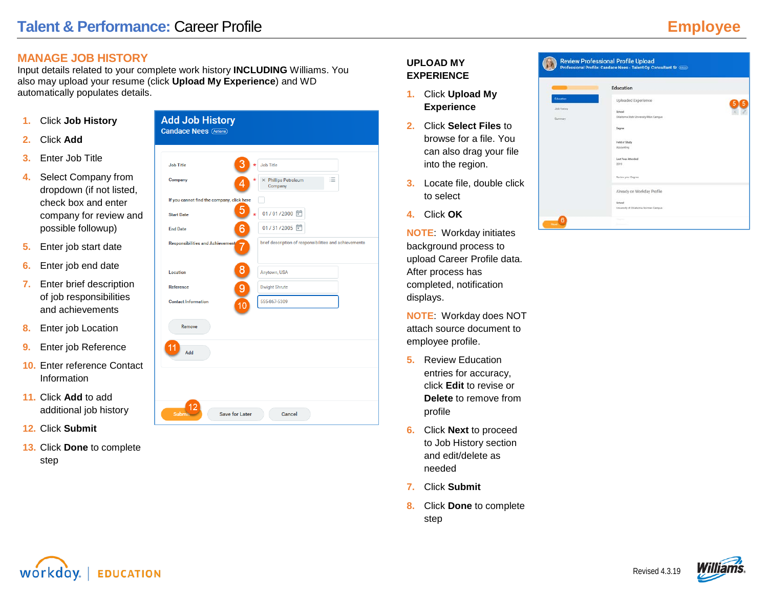# **MANAGE JOB HISTORY**

Input details related to your complete work history **INCLUDING** Williams. You also may upload your resume (click **Upload My Experience**) and WD automatically populates details.

- **1.** Click **Job History**
- **2.** Click **Add**
- **3.** Enter Job Title
- **4.** Select Company from dropdown (if not listed, check box and enter company for review and possible followup)
- **5.** Enter job start date
- **6.** Enter job end date
- **7.** Enter brief description of job responsibilities and achievements
- **8.** Enter job Location
- **9.** Enter job Reference
- **10.** Enter reference Contact Information
- **11.** Click **Add** to add additional job history
- **12.** Click **Submit**
- **13.** Click **Done** to complete step



# **UPLOAD MY EXPERIENCE**

- **1.** Click **Upload My Experience**
- **2.** Click **Select Files** to browse for a file. You can also drag your file into the region.
- **3.** Locate file, double click to select
- **4.** Click **OK**

**NOTE**: Workday initiates background process to upload Career Profile data. After process has completed, notification displays.

**NOTE**: Workday does NOT attach source document to employee profile.

- **5.** Review Education entries for accuracy, click **Edit** to revise or **Delete** to remove from profile
- **6.** Click **Next** to proceed to Job History section and edit/delete as needed
- **7.** Click **Submit**
- **8.** Click **Done** to complete step





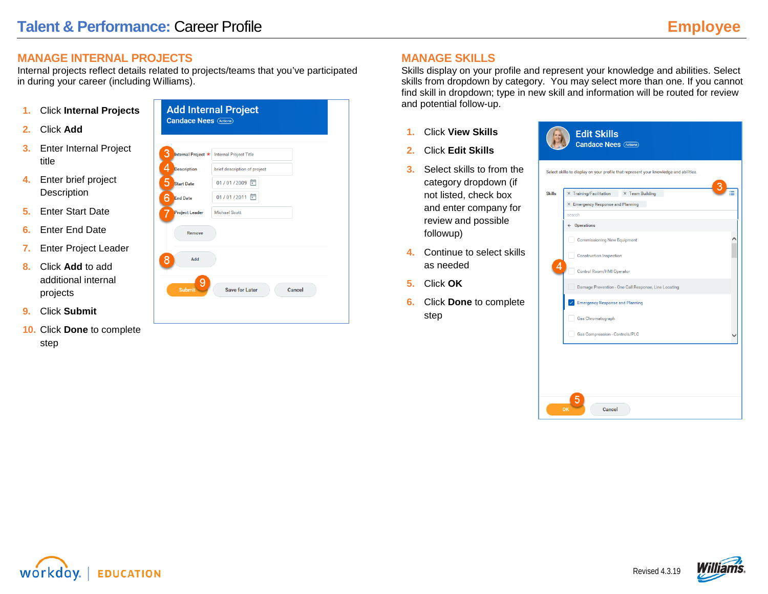### **MANAGE INTERNAL PROJECTS**

Internal projects reflect details related to projects/teams that you've participated in during your career (including Williams).

- **1.** Click **Internal Projects**
- **2.** Click **Add**
- **3.** Enter Internal Project title
- **4.** Enter brief project **Description**
- **5.** Enter Start Date
- **6.** Enter End Date
- **7.** Enter Project Leader
- **8.** Click **Add** to add additional internal projects
- **9.** Click **Submit**
- **10.** Click **Done** to complete step



# **MANAGE SKILLS**

Skills display on your profile and represent your knowledge and abilities. Select skills from dropdown by category. You may select more than one. If you cannot find skill in dropdown; type in new skill and information will be routed for review and potential follow-up.

- **1.** Click **View Skills**
- **2.** Click **Edit Skills**
- **3.** Select skills to from the category dropdown (if not listed, check box and enter company for review and possible followup)
- **4.** Continue to select skills as needed
- **5.** Click **OK**
- **6.** Click **Done** to complete step





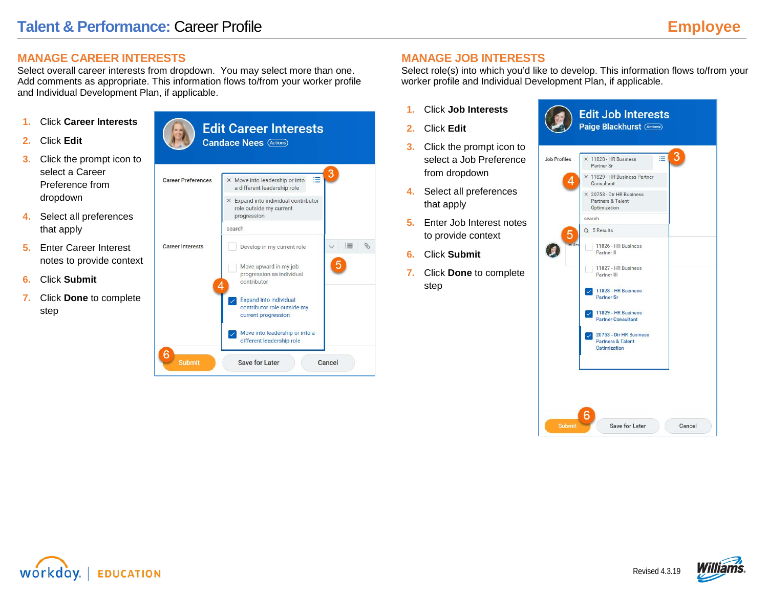# **MANAGE CAREER INTERESTS**

Select overall career interests from dropdown. You may select more than one. Add comments as appropriate. This information flows to/from your worker profile and Individual Development Plan, if applicable.

- **1.** Click **Career Interests**
- **2.** Click **Edit**
- **3.** Click the prompt icon to select a Career Preference from dropdown
- **4.** Select all preferences that apply
- **5.** Enter Career Interest notes to provide context
- **6.** Click **Submit**
- **7.** Click **Done** to complete step



# **MANAGE JOB INTERESTS**

Select role(s) into which you'd like to develop. This information flows to/from your worker profile and Individual Development Plan, if applicable.

- **1.** Click **Job Interests**
- **2.** Click **Edit**
- **3.** Click the prompt icon to select a Job Preference from dropdown
- **4.** Select all preferences that apply
- **5.** Enter Job Interest notes to provide context
- **6.** Click **Submit**
- **7.** Click **Done** to complete step





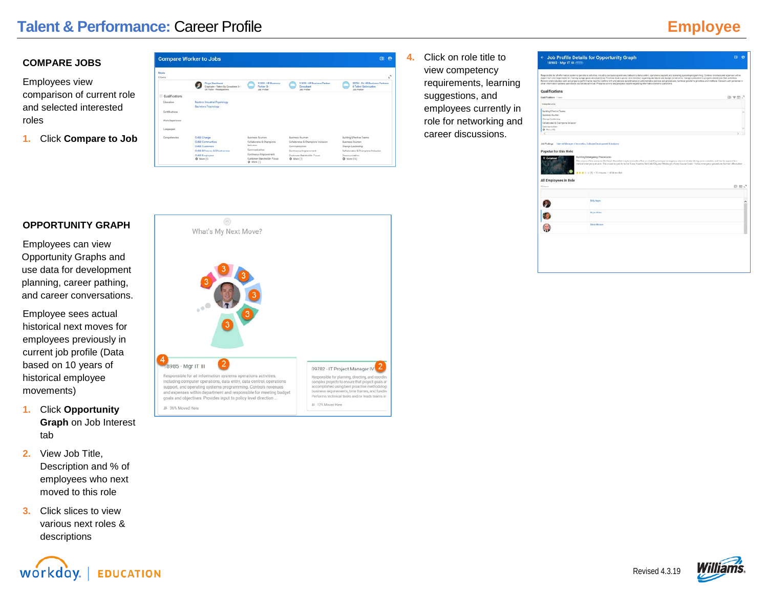# **Talent & Performance: Career Profile <b>Employee Employee**

#### **COMPARE JOBS**

Employees view comparison of current role and selected interested roles

**1.** Click **Compare to Job**

|                        | <b>Compare Worker to Jobs</b>                                                    |                                                                        |                                                                         | <b>ED</b><br>$\bullet$                                                     |
|------------------------|----------------------------------------------------------------------------------|------------------------------------------------------------------------|-------------------------------------------------------------------------|----------------------------------------------------------------------------|
| <b>Merg</b><br>6 heres |                                                                                  |                                                                        |                                                                         | $\mathbf{t}^{\mathcal{R}}$                                                 |
|                        | Page Blockhurst<br>Engineer - Talent Go Consultant 3rd<br>OK Tuba - Healtaschers | 11323 - 141 Supporter<br>Parker Sr.<br><b>JAR PHYRA</b>                | 11225 - 181 Business Partner<br><b>Consultant</b><br><b>Job PreTile</b> | 20753 - Dir 182 Business Partners<br>& Talent Outlesization<br>Joh Printin |
| Qualifications         |                                                                                  |                                                                        |                                                                         |                                                                            |
| Education              | Masters: Inquestrial Psychology<br>Bechelors: Psychology                         |                                                                        |                                                                         |                                                                            |
| Cartifications         |                                                                                  |                                                                        |                                                                         |                                                                            |
| Work Experience        |                                                                                  |                                                                        |                                                                         |                                                                            |
| Languages              |                                                                                  |                                                                        |                                                                         |                                                                            |
| Competenzies           | <b>CVEE: Ownpa</b>                                                               | <b>Business Animals</b>                                                | <b>Business Anumers</b>                                                 | Building Effective Teams                                                   |
|                        | <b>CVIII</b> : Communities                                                       | Colaborates & Champions<br>Industan                                    | Colaborates & Champions Inclusion                                       | Business Acurses                                                           |
|                        | <b>CVER Customers</b>                                                            | Currenable Flori                                                       | Communication                                                           | Dianas Leadership                                                          |
|                        | <b>CVEE EFficiency &amp; Effectiveness</b>                                       |                                                                        | Continuous Improvement                                                  | Collaborates & Champions Inslusion                                         |
|                        | <b>CVID Employees</b><br>O Main (S)                                              | Continuous Impiovement<br>Customer-Stakeholder Focus<br>$Q$ More $(1)$ | Customer Statisticitie: Focus<br>C More [7]                             | Communication<br>(CI) Hotel O                                              |

**4.** Click on role title to view competency requirements, learning suggestions, and employees currently in role for networking and career discussions.

|                                                      |                                                                                                                                                                                                                                                                                                                                                                                                                                                                                                                                                                                       | other referruation eyebarra sections to icondicate accivities. Prepares activity and progness reports required reformation eveneris operations. |
|------------------------------------------------------|---------------------------------------------------------------------------------------------------------------------------------------------------------------------------------------------------------------------------------------------------------------------------------------------------------------------------------------------------------------------------------------------------------------------------------------------------------------------------------------------------------------------------------------------------------------------------------------|-------------------------------------------------------------------------------------------------------------------------------------------------|
| <b>Qualifications</b>                                |                                                                                                                                                                                                                                                                                                                                                                                                                                                                                                                                                                                       |                                                                                                                                                 |
| Qualifications 1.000                                 |                                                                                                                                                                                                                                                                                                                                                                                                                                                                                                                                                                                       | 田 平田に                                                                                                                                           |
| Competencies                                         |                                                                                                                                                                                                                                                                                                                                                                                                                                                                                                                                                                                       |                                                                                                                                                 |
| Building Effective Teams                             |                                                                                                                                                                                                                                                                                                                                                                                                                                                                                                                                                                                       |                                                                                                                                                 |
| <b>Balmose Adulters</b>                              |                                                                                                                                                                                                                                                                                                                                                                                                                                                                                                                                                                                       |                                                                                                                                                 |
| Change Leadwahip.                                    |                                                                                                                                                                                                                                                                                                                                                                                                                                                                                                                                                                                       |                                                                                                                                                 |
| Collaborates & Champone Inclusion<br>Conveyerication |                                                                                                                                                                                                                                                                                                                                                                                                                                                                                                                                                                                       |                                                                                                                                                 |
| C Mara (TŠ)                                          |                                                                                                                                                                                                                                                                                                                                                                                                                                                                                                                                                                                       |                                                                                                                                                 |
| ٠                                                    |                                                                                                                                                                                                                                                                                                                                                                                                                                                                                                                                                                                       |                                                                                                                                                 |
| Popular for this Role                                | Job Postings - Internal Manager of Innovation, Suttorare Development & Analytics<br><b>Building Einsequery Procedures</b><br>This stander offers access the faced the safest way by available foot or a building during an amagengs adversion of the during service people, and how bi respect to a<br>medical entertaining at anoth. The course to specific to the Subschizer, Bot Lake City, and Philological Intern. Course Goals: - Fullow entertaining procedures for their affort when<br>$\triangleq \triangleq \triangleq \triangleq (1) \cdot 1$ integrates 1 differentials. |                                                                                                                                                 |
|                                                      |                                                                                                                                                                                                                                                                                                                                                                                                                                                                                                                                                                                       |                                                                                                                                                 |
|                                                      |                                                                                                                                                                                                                                                                                                                                                                                                                                                                                                                                                                                       | 印用。                                                                                                                                             |
| All Employees in Role<br>17 lumia                    | <b>Biby Flayers</b>                                                                                                                                                                                                                                                                                                                                                                                                                                                                                                                                                                   |                                                                                                                                                 |
|                                                      | <b>Sirgen Koles</b>                                                                                                                                                                                                                                                                                                                                                                                                                                                                                                                                                                   |                                                                                                                                                 |

#### **OPPORTUNITY GRAPH**

Employees can view Opportunity Graphs and use data for development planning, career pathing, and career conversations.

Employee sees actual historical next moves for employees previously in current job profile (Data based on 10 years of historical employee movements)

- **1.** Click **Opportunity Graph** on Job Interest tab
- **2.** View Job Title, Description and % of employees who next moved to this role
- **3.** Click slices to view various next roles & descriptions

**EDUCATION** 

workdov.





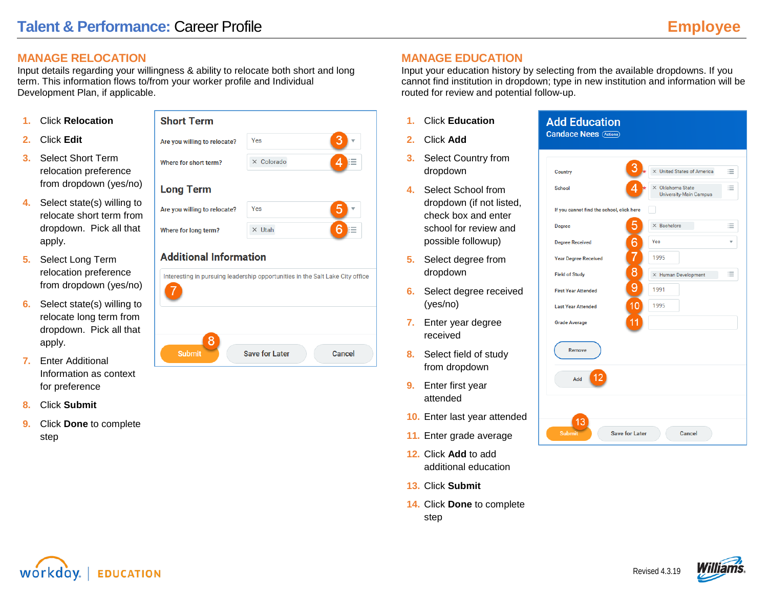# **MANAGE RELOCATION**

Input details regarding your willingness & ability to relocate both short and long term. This information flows to/from your worker profile and Individual Development Plan, if applicable.

- **1.** Click **Relocation**
- **2.** Click **Edit**
- **3.** Select Short Term relocation preference from dropdown (yes/no)
- **4.** Select state(s) willing to relocate short term from dropdown. Pick all that apply.
- **5.** Select Long Term relocation preference from dropdown (yes/no)
- **6.** Select state(s) willing to relocate long term from dropdown. Pick all that apply.
- **7.** Enter Additional Information as context for preference
- **8.** Click **Submit**
- **9.** Click **Done** to complete step

# **Short Term**

| Are you willing to relocate? | Yes               |  |
|------------------------------|-------------------|--|
| Where for short term?        | $\times$ Colorado |  |
| <b>Long Term</b>             |                   |  |
| Are you willing to relocate? | Yes               |  |
| Where for long term?         | $\times$ Utah     |  |

# **Additional Information**

|               | Interesting in pursuing leadership opportunities in the Salt Lake City office |        |
|---------------|-------------------------------------------------------------------------------|--------|
| <b>Submit</b> | <b>Save for Later</b>                                                         | Cancel |

# **MANAGE EDUCATION**

Input your education history by selecting from the available dropdowns. If you cannot find institution in dropdown; type in new institution and information will be routed for review and potential follow-up.

- **1.** Click **Education**
- **2.** Click **Add**
- **3.** Select Country from dropdown
- **4.** Select School from dropdown (if not listed, check box and enter school for review and possible followup)
- **5.** Select degree from dropdown
- **6.** Select degree received (yes/no)
- **7.** Enter year degree received
- **8.** Select field of study from dropdown
- **9.** Enter first year attended
- **10.** Enter last year attended
- **11.** Enter grade average
- **12.** Click **Add** to add additional education
- **13.** Click **Submit**
- **14.** Click **Done** to complete step





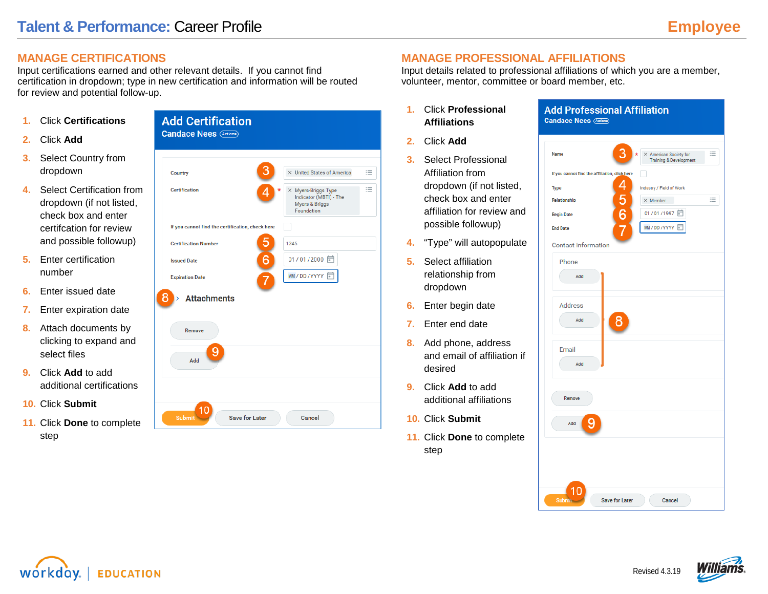Щ

American Society for Training & Developmen

# **MANAGE CERTIFICATIONS**

Input certifications earned and other relevant details. If you cannot find certification in dropdown; type in new certification and information will be routed for review and potential follow-up.

- **1.** Click **Certifications**
- **2.** Click **Add**
- **3.** Select Country from dropdown
- **4.** Select Certification from dropdown (if not listed, check box and enter certifcation for review and possible followup)
- **5.** Enter certification number
- **6.** Enter issued date
- **7.** Enter expiration date
- **8.** Attach documents by clicking to expand and select files
- **9.** Click **Add** to add additional certifications
- **10.** Click **Submit**
- **11.** Click **Done** to complete step



# **MANAGE PROFESSIONAL AFFILIATIONS**

Input details related to professional affiliations of which you are a member, volunteer, mentor, committee or board member, etc.

Name

**Candace Nees** (Actions)

If you cannot find the affiliation, click here

**Add Professional Affiliation** 

- **1.** Click **Professional Affiliations**
- **2.** Click **Add**
- **3.** Select Professional Affiliation from dropdown (if not listed, check box and enter affiliation for review and possible followup)
- **4.** "Type" will autopopulate
- **5.** Select affiliation relationship from dropdown
- **6.** Enter begin date
- **7.** Enter end date
- **8.** Add phone, address and email of affiliation if desired
- **9.** Click **Add** to add additional affiliations
- **10.** Click **Submit**
- **11.** Click **Done** to complete step

| <b>Type</b>                            | Industry / Field of Work |
|----------------------------------------|--------------------------|
| Relationship                           | 這<br>$\times$ Member     |
| 456<br>567<br><b>Begin Date</b>        | 01/01/1997               |
| <b>End Date</b>                        | MM/DD/YYYY □             |
| <b>Contact Information</b>             |                          |
| Phone                                  |                          |
| Add                                    |                          |
| <b>Address</b>                         |                          |
| Add                                    |                          |
| Email                                  |                          |
| Add                                    |                          |
| Remove                                 |                          |
| Add                                    |                          |
|                                        |                          |
|                                        |                          |
|                                        |                          |
| 10<br>Submit-<br><b>Save for Later</b> | Cancel                   |
|                                        |                          |



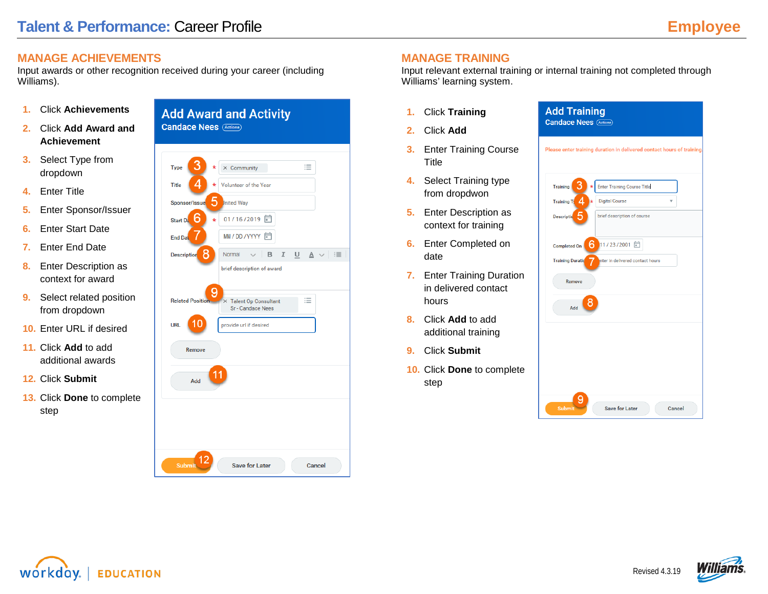# **MANAGE ACHIEVEMENTS**

Input awards or other recognition received during your career (including Williams).

- **1.** Click **Achievements**
- **2.** Click **Add Award and Achievement**
- **3.** Select Type from dropdown
- **4.** Enter Title
- **5.** Enter Sponsor/Issuer
- **6.** Enter Start Date
- **7.** Enter End Date
- **8.** Enter Description as context for award
- **9.** Select related position from dropdown
- **10.** Enter URL if desired
- **11.** Click **Add** to add additional awards
- **12.** Click **Submit**
- **13.** Click **Done** to complete step



### **MANAGE TRAINING**

Input relevant external training or internal training not completed through Williams' learning system.

- **1.** Click **Training**
- **2.** Click **Add**
- **3.** Enter Training Course Title
- **4.** Select Training type from dropdwon
- **5.** Enter Description as context for training
- **6.** Enter Completed on date
- **7.** Enter Training Duration in delivered contact hours
- **8.** Click **Add** to add additional training
- **9.** Click **Submit**
- **10.** Click **Done** to complete step